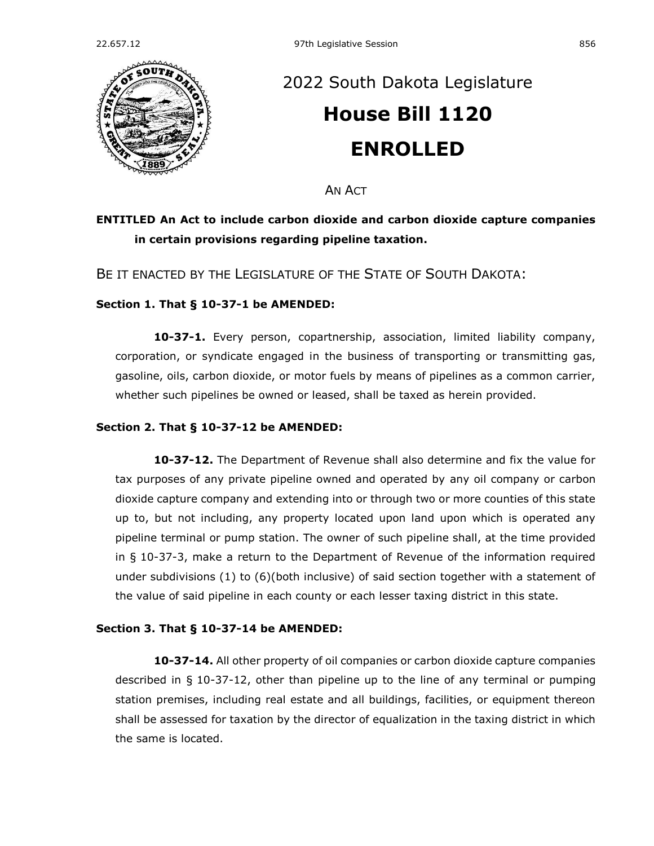

# [2022 South Dakota Legislature](https://sdlegislature.gov/Session/Bills/64) **[House Bill 1120](https://sdlegislature.gov/Session/Bill/23228) ENROLLED**

**AN ACT** 

## **ENTITLED An Act to include carbon dioxide and carbon dioxide capture companies in certain provisions regarding pipeline taxation.**

BE IT ENACTED BY THE LEGISLATURE OF THE STATE OF SOUTH DAKOTA:

#### **Section 1. [That § 10-37-1 be AMENDED:](https://sdlegislature.gov/Statutes?Statute=10-37-1)**

**[10-37-1.](https://sdlegislature.gov/Statutes/Codified_Laws/DisplayStatute.aspx?Type=Statute&Statute=10-37-1)** Every person, copartnership, association, limited liability company, corporation, or syndicate engaged in the business of transporting or transmitting gas, gasoline, oils, carbon dioxide, or motor fuels by means of pipelines as a common carrier, whether such pipelines be owned or leased, shall be taxed as herein provided.

#### **Section 2. [That § 10-37-12 be AMENDED:](https://sdlegislature.gov/Statutes?Statute=10-37-12)**

**[10-37-12.](https://sdlegislature.gov/Statutes/Codified_Laws/DisplayStatute.aspx?Type=Statute&Statute=10-37-12)** The Department of Revenue shall also determine and fix the value for tax purposes of any private pipeline owned and operated by any oil company or carbon dioxide capture company and extending into or through two or more counties of this state up to, but not including, any property located upon land upon which is operated any pipeline terminal or pump station. The owner of such pipeline shall, at the time provided in § [10-37-3,](https://sdlegislature.gov/Statutes/Codified_Laws/DisplayStatute.aspx?Type=Statute&Statute=10-37-3) make a return to the Department of Revenue of the information required under subdivisions (1) to (6)(both inclusive) of said section together with a statement of the value of said pipeline in each county or each lesser taxing district in this state.

### **Section 3. [That § 10-37-14 be AMENDED:](https://sdlegislature.gov/Statutes?Statute=10-37-14)**

**[10-37-14.](https://sdlegislature.gov/Statutes/Codified_Laws/DisplayStatute.aspx?Type=Statute&Statute=10-37-14)** All other property of oil companies or carbon dioxide capture companies described in § [10-37-12,](https://sdlegislature.gov/Statutes/Codified_Laws/DisplayStatute.aspx?Type=Statute&Statute=10-37-12) other than pipeline up to the line of any terminal or pumping station premises, including real estate and all buildings, facilities, or equipment thereon shall be assessed for taxation by the director of equalization in the taxing district in which the same is located.